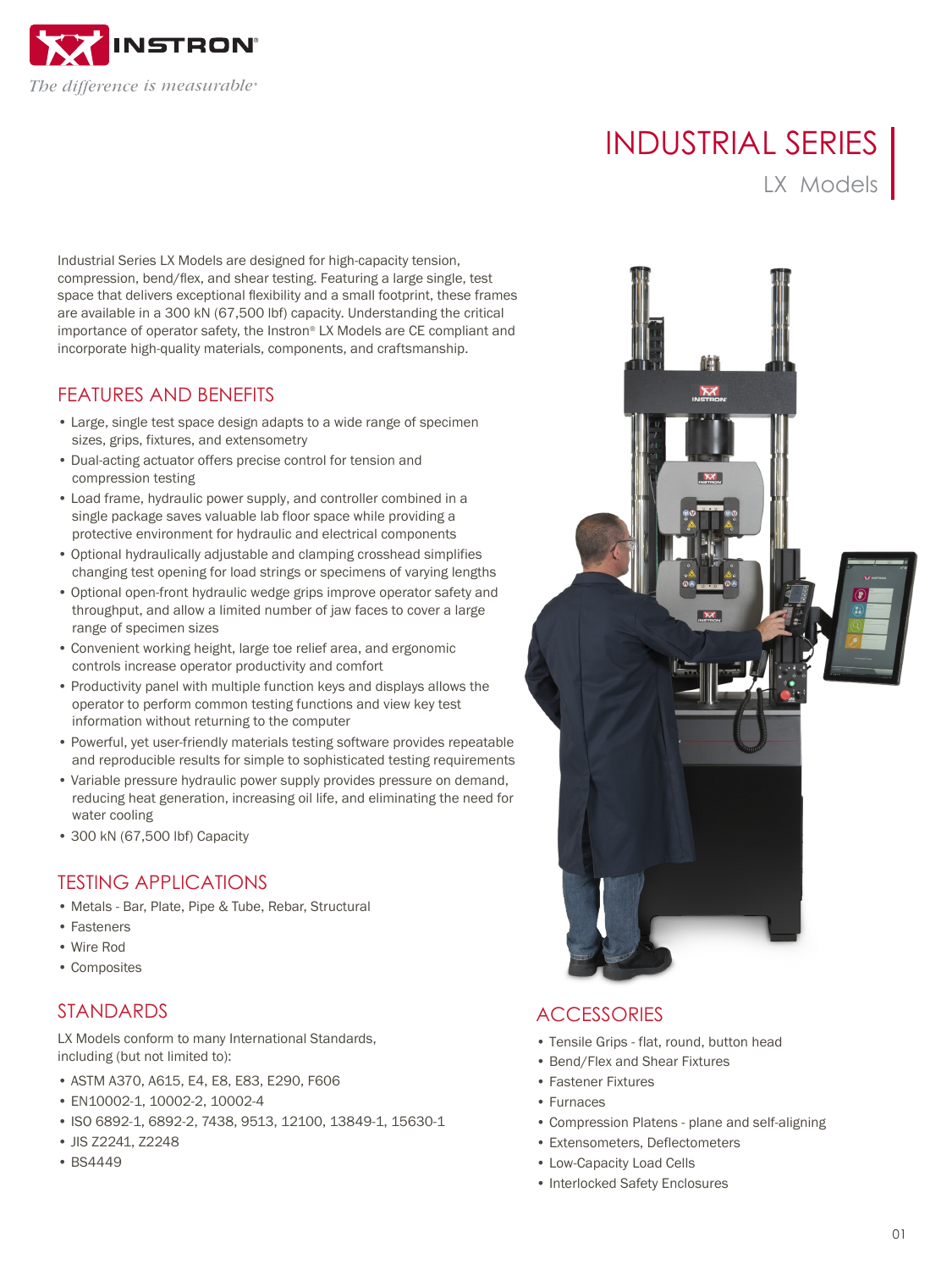

# INDUSTRIAL SERIES

LX Models

Industrial Series LX Models are designed for high-capacity tension, compression, bend/flex, and shear testing. Featuring a large single, test space that delivers exceptional flexibility and a small footprint, these frames are available in a 300 kN (67,500 lbf) capacity. Understanding the critical importance of operator safety, the Instron® LX Models are CE compliant and incorporate high-quality materials, components, and craftsmanship.

#### FEATURES AND BENEFITS

- Large, single test space design adapts to a wide range of specimen sizes, grips, fixtures, and extensometry
- Dual-acting actuator offers precise control for tension and compression testing
- Load frame, hydraulic power supply, and controller combined in a single package saves valuable lab floor space while providing a protective environment for hydraulic and electrical components
- Optional hydraulically adjustable and clamping crosshead simplifies changing test opening for load strings or specimens of varying lengths
- Optional open-front hydraulic wedge grips improve operator safety and throughput, and allow a limited number of jaw faces to cover a large range of specimen sizes
- Convenient working height, large toe relief area, and ergonomic controls increase operator productivity and comfort
- Productivity panel with multiple function keys and displays allows the operator to perform common testing functions and view key test information without returning to the computer
- Powerful, yet user-friendly materials testing software provides repeatable and reproducible results for simple to sophisticated testing requirements
- Variable pressure hydraulic power supply provides pressure on demand, reducing heat generation, increasing oil life, and eliminating the need for water cooling
- 300 kN (67,500 lbf) Capacity

# TESTING APPLICATIONS

- Metals Bar, Plate, Pipe & Tube, Rebar, Structural
- Fasteners
- Wire Rod
- Composites

# STANDARDS

LX Models conform to many International Standards, including (but not limited to):

- ASTM A370, A615, E4, E8, E83, E290, F606
- EN10002-1, 10002-2, 10002-4
- ISO 6892-1, 6892-2, 7438, 9513, 12100, 13849-1, 15630-1
- JIS Z2241, Z2248
- BS4449



# **ACCESSORIES**

- Tensile Grips flat, round, button head
- Bend/Flex and Shear Fixtures
- Fastener Fixtures
- Furnaces
- Compression Platens plane and self-aligning
- Extensometers, Deflectometers
- Low-Capacity Load Cells
- Interlocked Safety Enclosures